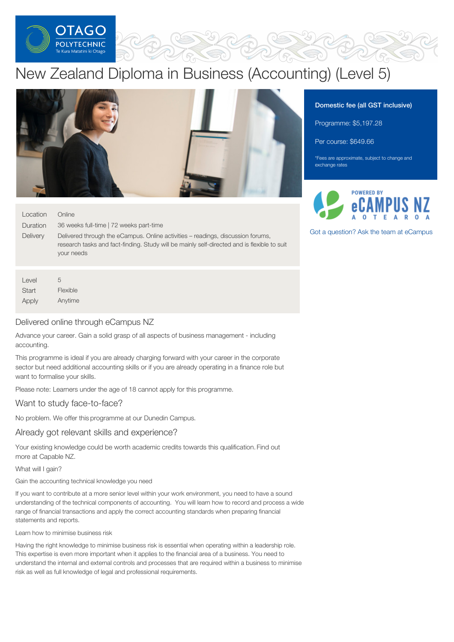

# New Zealand Diploma in Business (Accounting) (Level 5)



#### Location Online

**Duration Delivery** 36 weeks full-time | 72 weeks part-time Delivered through the eCampus. Online activities – readings, discussion forums, research tasks and fact-finding. Study will be mainly self-directed and is flexible to suit your needs

Level **Start** Apply 5 Flexible Anytime

# Delivered online through eCampus NZ

Advance your career. Gain a solid grasp of all aspects of business management - including accounting.

This programme is ideal if you are already charging forward with your career in the corporate sector but need additional accounting skills or if you are already operating in a finance role but want to formalise your skills.

Please note: Learners under the age of 18 cannot apply for this programme.

# Want to study face-to-face?

No problem. We offer this programme at our Dunedin Campus.

#### Already got relevant skills and experience?

Your existing knowledge could be worth academic credits towards this qualification. Find out more at Capable NZ.

What will I gain?

Gain the accounting technical knowledge you need

If you want to contribute at a more senior level within your work environment, you need to have a sound understanding of the technical components of accounting. You will learn how to record and process a wide range of financial transactions and apply the correct accounting standards when preparing financial statements and reports.

Learn how to minimise business risk

Having the right knowledge to minimise business risk is essential when operating within a leadership role. This expertise is even more important when it applies to the financial area of a business. You need to understand the internal and external controls and processes that are required within a business to minimise risk as well as full knowledge of legal and professional requirements.

# Domestic fee (all GST inclusive)

Programme: \$5,197.28

Per course: \$649.66

\*Fees are approximate, subject to change and exchange rates



Got a [question?](https://www.tanzecampus.com/business/new-zealand-diploma-business-accounting-level-5?itp=op) Ask the team at eCampus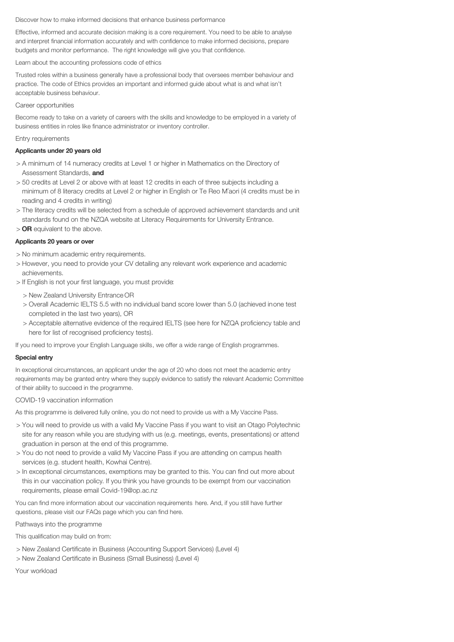#### Discover how to make informed decisions that enhance business performance

Effective, informed and accurate decision making is a core requirement. You need to be able to analyse and interpret financial information accurately and with confidence to make informed decisions, prepare budgets and monitor performance. The right knowledge will give you that confidence.

Learn about the accounting professions code of ethics

Trusted roles within a business generally have a professional body that oversees member behaviour and practice. The code of Ethics provides an important and informed guide about what is and what isn't acceptable business behaviour.

#### Career opportunities

Become ready to take on a variety of careers with the skills and knowledge to be employed in a variety of business entities in roles like finance administrator or inventory controller.

#### Entry requirements

#### Applicants under 20 years old

- > A minimum of 14 numeracy credits at Level 1 or higher in Mathematics on the Directory of Assessment Standards, and
- > 50 credits at Level 2 or above with at least 12 credits in each of three subjects including a minimum of 8 literacy credits at Level 2 or higher in English or Te Reo Maori (4 credits must be in reading and 4 credits in writing)
- > The literacy credits will be selected from a schedule of approved achievement standards and unit standards found on the NZQA website at Literacy Requirements for University Entrance.
- > OR equivalent to the above.

#### Applicants 20 years or over

- > No minimum academic entry requirements.
- > However, you need to provide your CV detailing any relevant work experience and academic achievements.
- > If English is not your first language, you must provide:
	- > New Zealand University Entrance OR
	- > Overall Academic IELTS 5.5 with no individual band score lower than 5.0 (achieved inone test completed in the last two years), OR
	- > Acceptable alternative evidence of the required IELTS (see here for NZQA proficiency table and here for list of recognised proficiency tests).

If you need to improve your English Language skills, we offer a wide range of English programmes.

#### Special entry

In exceptional circumstances, an applicant under the age of 20 who does not meet the academic entry requirements may be granted entry where they supply evidence to satisfy the relevant Academic Committee of their ability to succeed in the programme.

#### COVID-19 vaccination information

As this programme is delivered fully online, you do not need to provide us with a My Vaccine Pass.

- > You will need to provide us with a valid My Vaccine Pass if you want to visit an Otago Polytechnic site for any reason while you are studying with us (e.g. meetings, events, presentations) or attend graduation in person at the end of this programme.
- > You do not need to provide a valid My Vaccine Pass if you are attending on campus health services (e.g. student health, Kowhai Centre).
- > In exceptional circumstances, exemptions may be granted to this. You can find out more about this in our vaccination policy. If you think you have grounds to be exempt from our vaccination requirements, please email Covid-19@op.ac.nz

You can find more information about our vaccination requirements here. And, if you still have further questions, please visit our FAQs page which you can find here.

Pathways into the programme

This qualification may build on from:

- > New Zealand Certificate in Business (Accounting Support Services) (Level 4)
- > New Zealand Certificate in Business (Small Business) (Level 4)

Your workload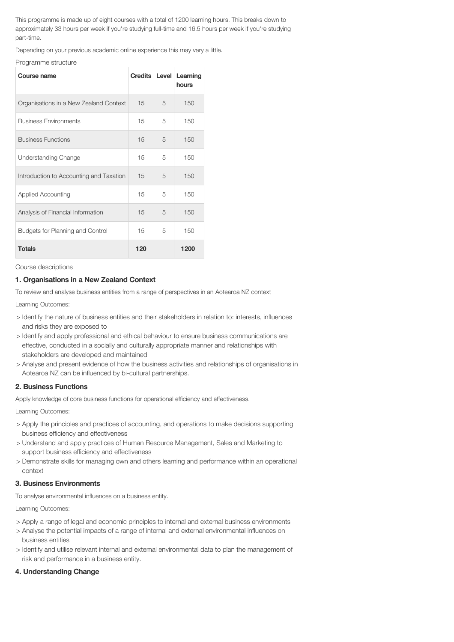This programme is made up of eight courses with a total of 1200 learning hours. This breaks down to approximately 33 hours per week if you're studying full-time and 16.5 hours per week if you're studying part-time.

Depending on your previous academic online experience this may vary a little.

Programme structure

| Course name                             | Credits Level |   | Learning<br>hours |
|-----------------------------------------|---------------|---|-------------------|
| Organisations in a New Zealand Context  | 15            | 5 | 150               |
| <b>Business Environments</b>            | 15            | 5 | 150               |
| <b>Business Functions</b>               | 15            | 5 | 150               |
| <b>Understanding Change</b>             | 15            | 5 | 150               |
| Introduction to Accounting and Taxation | 15            | 5 | 150               |
| <b>Applied Accounting</b>               | 15            | 5 | 150               |
| Analysis of Financial Information       | 15            | 5 | 150               |
| Budgets for Planning and Control        | 15            | 5 | 150               |
| <b>Totals</b>                           | 120           |   | 1200              |

Course descriptions

#### 1. Organisations in a New Zealand Context

To review and analyse business entities from a range of perspectives in an Aotearoa NZ context

Learning Outcomes:

- > Identify the nature of business entities and their stakeholders in relation to: interests, influences and risks they are exposed to
- > Identify and apply professional and ethical behaviour to ensure business communications are effective, conducted in a socially and culturally appropriate manner and relationships with stakeholders are developed and maintained
- > Analyse and present evidence of how the business activities and relationships of organisations in Aotearoa NZ can be influenced by bi-cultural partnerships.

# 2. Business Functions

Apply knowledge of core business functions for operational efficiency and effectiveness.

Learning Outcomes:

- > Apply the principles and practices of accounting, and operations to make decisions supporting business efficiency and effectiveness
- > Understand and apply practices of Human Resource Management, Sales and Marketing to support business efficiency and effectiveness
- > Demonstrate skills for managing own and others learning and performance within an operational context

#### 3. Business Environments

To analyse environmental influences on a business entity.

Learning Outcomes:

- > Apply a range of legal and economic principles to internal and external business environments
- > Analyse the potential impacts of a range of internal and external environmental influences on business entities
- > Identify and utilise relevant internal and external environmental data to plan the management of risk and performance in a business entity.

# 4. Understanding Change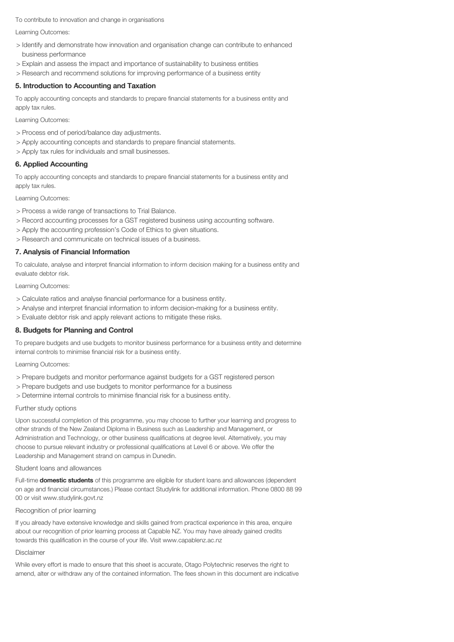To contribute to innovation and change in organisations

Learning Outcomes:

- > Identify and demonstrate how innovation and organisation change can contribute to enhanced business performance
- > Explain and assess the impact and importance of sustainability to business entities
- > Research and recommend solutions for improving performance of a business entity

## 5. Introduction to Accounting and Taxation

To apply accounting concepts and standards to prepare financial statements for a business entity and apply tax rules.

Learning Outcomes:

- > Process end of period/balance day adjustments.
- > Apply accounting concepts and standards to prepare financial statements.
- > Apply tax rules for individuals and small businesses.

# 6. Applied Accounting

To apply accounting concepts and standards to prepare financial statements for a business entity and apply tax rules.

Learning Outcomes:

- > Process a wide range of transactions to Trial Balance.
- > Record accounting processes for a GST registered business using accounting software.
- > Apply the accounting profession's Code of Ethics to given situations.
- > Research and communicate on technical issues of a business.

#### 7. Analysis of Financial Information

To calculate, analyse and interpret financial information to inform decision making for a business entity and evaluate debtor risk.

Learning Outcomes:

- > Calculate ratios and analyse financial performance for a business entity.
- > Analyse and interpret financial information to inform decision-making for a business entity.
- > Evaluate debtor risk and apply relevant actions to mitigate these risks.

## 8. Budgets for Planning and Control

To prepare budgets and use budgets to monitor business performance for a business entity and determine internal controls to minimise financial risk for a business entity.

Learning Outcomes:

- > Prepare budgets and monitor performance against budgets for a GST registered person
- > Prepare budgets and use budgets to monitor performance for a business
- > Determine internal controls to minimise financial risk for a business entity.

#### Further study options

Upon successful completion of this programme, you may choose to further your learning and progress to other strands of the New Zealand Diploma in Business such as Leadership and Management, or Administration and Technology, or other business qualifications at degree level. Alternatively, you may choose to pursue relevant industry or professional qualifications at Level 6 or above. We offer the Leadership and Management strand on campus in Dunedin.

Student loans and allowances

Full-time **domestic students** of this programme are eligible for student loans and allowances (dependent on age and financial circumstances.) Please contact Studylink for additional information. Phone 0800 88 99 00 or visit www.studylink.govt.nz

#### Recognition of prior learning

If you already have extensive knowledge and skills gained from practical experience in this area, enquire about our recognition of prior learning process at Capable NZ. You may have already gained credits towards this qualification in the course of your life. Visit www.capablenz.ac.nz

#### Disclaimer

While every effort is made to ensure that this sheet is accurate, Otago Polytechnic reserves the right to amend, alter or withdraw any of the contained information. The fees shown in this document are indicative